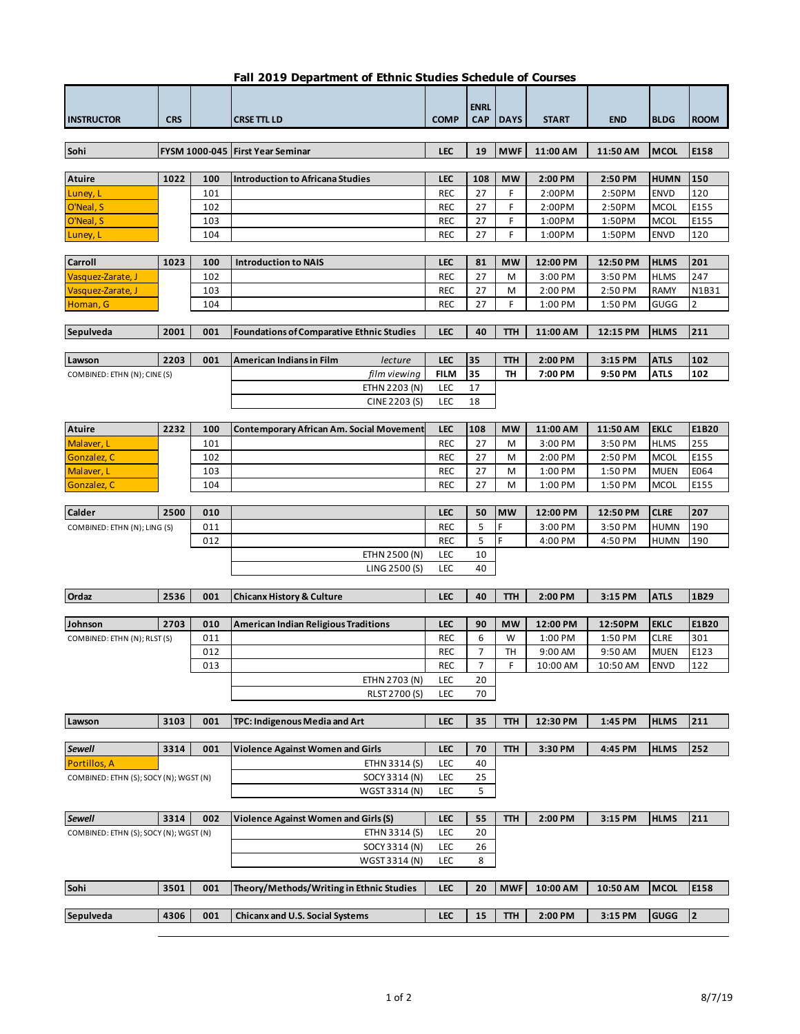| Fall 2019 Department of Ethnic Studies Schedule of Courses |  |
|------------------------------------------------------------|--|
|------------------------------------------------------------|--|

Г

|                                        |            |     |                                                  |                    | <b>ENRL</b> |             |              |            |             |                         |
|----------------------------------------|------------|-----|--------------------------------------------------|--------------------|-------------|-------------|--------------|------------|-------------|-------------------------|
| <b>INSTRUCTOR</b>                      | <b>CRS</b> |     | <b>CRSE TTL LD</b>                               | <b>COMP</b>        | <b>CAP</b>  | <b>DAYS</b> | <b>START</b> | <b>END</b> | <b>BLDG</b> | <b>ROOM</b>             |
|                                        |            |     |                                                  |                    |             |             |              |            |             |                         |
| Sohi                                   |            |     | FYSM 1000-045 First Year Seminar                 | <b>LEC</b>         | 19          | <b>MWF</b>  | 11:00 AM     | 11:50 AM   | <b>MCOL</b> | E158                    |
|                                        |            |     |                                                  |                    |             |             |              |            |             |                         |
| Atuire                                 | 1022       | 100 | <b>Introduction to Africana Studies</b>          | <b>LEC</b>         | 108         | <b>MW</b>   | 2:00 PM      | 2:50 PM    | <b>HUMN</b> | 150                     |
| Luney, L                               |            | 101 |                                                  | <b>REC</b>         | 27          | F           | 2:00PM       | 2:50PM     | <b>ENVD</b> | 120                     |
| O'Neal, S                              |            | 102 |                                                  | <b>REC</b>         | 27          | F           | 2:00PM       | 2:50PM     | <b>MCOL</b> | E155                    |
| O'Neal, S                              |            | 103 |                                                  | <b>REC</b>         | 27          | F           | 1:00PM       | 1:50PM     | <b>MCOL</b> | E155                    |
| Luney, L                               |            | 104 |                                                  | <b>REC</b>         | 27          | F           | 1:00PM       | 1:50PM     | <b>ENVD</b> | 120                     |
|                                        |            |     |                                                  |                    |             |             |              |            |             |                         |
| Carroll                                | 1023       | 100 | <b>Introduction to NAIS</b>                      | <b>LEC</b>         | 81          | <b>MW</b>   | 12:00 PM     | 12:50 PM   | <b>HLMS</b> | 201                     |
| Vasquez-Zarate, J                      |            | 102 |                                                  | REC                | 27          | м           | 3:00 PM      | 3:50 PM    | <b>HLMS</b> | 247                     |
| Vasquez-Zarate, J                      |            | 103 |                                                  | REC                | 27          | м           | 2:00 PM      | 2:50 PM    | <b>RAMY</b> | N1B31                   |
| Homan, G                               |            | 104 |                                                  | REC                | 27          | F           | 1:00 PM      | 1:50 PM    | GUGG        | $\overline{2}$          |
|                                        |            |     |                                                  |                    |             |             |              |            |             |                         |
| Sepulveda                              | 2001       | 001 | <b>Foundations of Comparative Ethnic Studies</b> | <b>LEC</b>         | 40          | ттн         | 11:00 AM     | 12:15 PM   | <b>HLMS</b> | 211                     |
|                                        |            |     |                                                  |                    |             |             |              |            |             |                         |
| Lawson                                 | 2203       | 001 | <b>American Indians in Film</b><br>lecture       | <b>LEC</b>         | 35          | ттн         | 2:00 PM      | 3:15 PM    | <b>ATLS</b> | 102                     |
| COMBINED: ETHN (N); CINE (S)           |            |     | film viewing                                     | FILM<br><b>LEC</b> | 35<br>17    | TH          | 7:00 PM      | 9:50 PM    | <b>ATLS</b> | 102                     |
|                                        |            |     | ETHN 2203 (N)                                    |                    |             |             |              |            |             |                         |
|                                        |            |     | CINE 2203 (S)                                    | LEC                | 18          |             |              |            |             |                         |
| Atuire                                 | 2232       | 100 | <b>Contemporary African Am. Social Movement</b>  | <b>LEC</b>         | 108         | MW          | 11:00 AM     | 11:50 AM   | <b>EKLC</b> | E1B20                   |
| Malaver, L                             |            | 101 |                                                  | <b>REC</b>         | 27          | M           | 3:00 PM      | 3:50 PM    | <b>HLMS</b> | 255                     |
| Gonzalez, C                            |            | 102 |                                                  | <b>REC</b>         | 27          | М           | 2:00 PM      | 2:50 PM    | <b>MCOL</b> | E155                    |
| Malaver, L                             |            | 103 |                                                  | <b>REC</b>         | 27          | М           | 1:00 PM      | 1:50 PM    | <b>MUEN</b> | E064                    |
| Gonzalez, C                            |            | 104 |                                                  | REC                | 27          | M           | 1:00 PM      | 1:50 PM    | <b>MCOL</b> | E155                    |
|                                        |            |     |                                                  |                    |             |             |              |            |             |                         |
| <b>Calder</b>                          | 2500       | 010 |                                                  | <b>LEC</b>         | 50          | <b>MW</b>   | 12:00 PM     | 12:50 PM   | <b>CLRE</b> | 207                     |
| COMBINED: ETHN (N); LING (S)           |            | 011 |                                                  | <b>REC</b>         | 5           | F           | 3:00 PM      | 3:50 PM    | <b>HUMN</b> | 190                     |
|                                        |            | 012 |                                                  | <b>REC</b>         | 5           | F           | 4:00 PM      | 4:50 PM    | <b>HUMN</b> | 190                     |
|                                        |            |     | ETHN 2500 (N)                                    | LEC                | 10          |             |              |            |             |                         |
|                                        |            |     | LING 2500 (S)                                    | LEC                | 40          |             |              |            |             |                         |
|                                        |            |     |                                                  |                    |             |             |              |            |             |                         |
| Ordaz                                  | 2536       | 001 | <b>Chicanx History &amp; Culture</b>             | <b>LEC</b>         | 40          | <b>TTH</b>  | 2:00 PM      | 3:15 PM    | <b>ATLS</b> | 1B29                    |
|                                        |            |     |                                                  |                    |             |             |              |            |             |                         |
| Johnson                                | 2703       | 010 | American Indian Religious Traditions             | <b>LEC</b>         | 90          | МW          | 12:00 PM     | 12:50PM    | <b>EKLC</b> | E1B20                   |
| COMBINED: ETHN (N); RLST (S)           |            | 011 |                                                  | <b>REC</b>         | 6           | W           | 1:00 PM      | 1:50 PM    | <b>CLRE</b> | 301                     |
|                                        |            | 012 |                                                  | REC                | 7           | TH          | 9:00 AM      | 9:50 AM    | <b>MUEN</b> | E123                    |
|                                        |            | 013 |                                                  | <b>REC</b>         | 7           | F           | 10:00 AM     | 10:50 AM   | <b>ENVD</b> | 122                     |
|                                        |            |     | ETHN 2703 (N)                                    | <b>LEC</b>         | 20          |             |              |            |             |                         |
|                                        |            |     | RLST 2700 (S)                                    | <b>LEC</b>         | 70          |             |              |            |             |                         |
|                                        |            |     |                                                  |                    |             |             |              |            |             |                         |
| Lawson                                 | 3103       | 001 | TPC: Indigenous Media and Art                    | <b>LEC</b>         | 35          | <b>TTH</b>  | 12:30 PM     | 1:45 PM    | <b>HLMS</b> | 211                     |
|                                        |            |     |                                                  |                    |             |             |              |            |             |                         |
| <b>Sewell</b>                          | 3314       | 001 | Violence Against Women and Girls                 | <b>LEC</b>         | 70          | <b>TTH</b>  | 3:30 PM      | 4:45 PM    | <b>HLMS</b> | 252                     |
| Portillos, A                           |            |     | ETHN 3314 (S)                                    | LEC<br>LEC         | 40          |             |              |            |             |                         |
| COMBINED: ETHN (S); SOCY (N); WGST (N) |            |     | SOCY 3314 (N)                                    | LEC                | 25<br>5     |             |              |            |             |                         |
|                                        |            |     | WGST 3314 (N)                                    |                    |             |             |              |            |             |                         |
| Sewell                                 | 3314       | 002 | <b>Violence Against Women and Girls (S)</b>      | <b>LEC</b>         | 55          | ттн         | 2:00 PM      | 3:15 PM    | <b>HLMS</b> | 211                     |
|                                        |            |     | ETHN 3314 (S)                                    | LEC                | 20          |             |              |            |             |                         |
| COMBINED: ETHN (S); SOCY (N); WGST (N) |            |     | SOCY 3314 (N)                                    | LEC                | 26          |             |              |            |             |                         |
|                                        |            |     | WGST 3314 (N)                                    | LEC                | 8           |             |              |            |             |                         |
|                                        |            |     |                                                  |                    |             |             |              |            |             |                         |
| Sohi                                   | 3501       | 001 | Theory/Methods/Writing in Ethnic Studies         | <b>LEC</b>         | 20          | <b>MWF</b>  | 10:00 AM     | 10:50 AM   | <b>MCOL</b> | E158                    |
|                                        |            |     |                                                  |                    |             |             |              |            |             |                         |
| Sepulveda                              | 4306       | 001 | <b>Chicanx and U.S. Social Systems</b>           | <b>LEC</b>         | 15          | <b>TTH</b>  | 2:00 PM      | 3:15 PM    | <b>GUGG</b> | $\overline{\mathbf{2}}$ |
|                                        |            |     |                                                  |                    |             |             |              |            |             |                         |